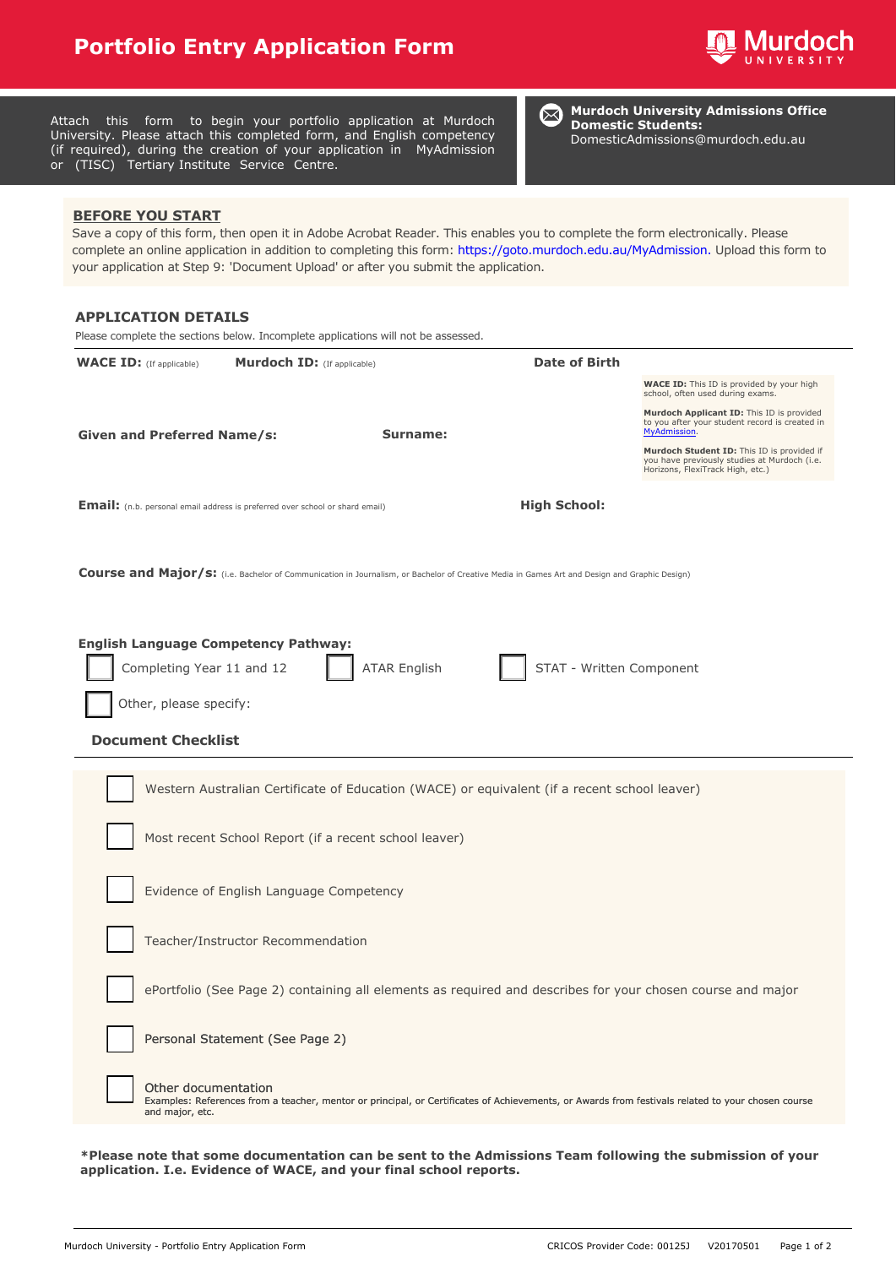## **Portfolio Entry Application Form**



| or (TISC) Tertiary Institute Service Centre.                                                               | Attach this form to begin your portfolio application at Murdoch<br>University. Please attach this completed form, and English competency<br>(if required), during the creation of your application in MyAdmission | <b>Murdoch University Admissions Office</b><br>$\boxtimes$<br><b>Domestic Students:</b><br>DomesticAdmissions@murdoch.edu.au                                                                                                                                     |
|------------------------------------------------------------------------------------------------------------|-------------------------------------------------------------------------------------------------------------------------------------------------------------------------------------------------------------------|------------------------------------------------------------------------------------------------------------------------------------------------------------------------------------------------------------------------------------------------------------------|
| <b>BEFORE YOU START</b>                                                                                    | your application at Step 9: 'Document Upload' or after you submit the application.                                                                                                                                | Save a copy of this form, then open it in Adobe Acrobat Reader. This enables you to complete the form electronically. Please<br>complete an online application in addition to completing this form: https://goto.murdoch.edu.au/MyAdmission. Upload this form to |
| <b>APPLICATION DETAILS</b>                                                                                 | Please complete the sections below. Incomplete applications will not be assessed.                                                                                                                                 |                                                                                                                                                                                                                                                                  |
| <b>WACE ID:</b> (If applicable)                                                                            | <b>Murdoch ID:</b> (If applicable)                                                                                                                                                                                | <b>Date of Birth</b>                                                                                                                                                                                                                                             |
| <b>Given and Preferred Name/s:</b>                                                                         | Surname:                                                                                                                                                                                                          | <b>WACE ID:</b> This ID is provided by your high<br>school, often used during exams.<br>Murdoch Applicant ID: This ID is provided<br>to you after your student record is created in<br>MyAdmission.                                                              |
|                                                                                                            |                                                                                                                                                                                                                   | Murdoch Student ID: This ID is provided if<br>you have previously studies at Murdoch (i.e.<br>Horizons, FlexiTrack High, etc.)                                                                                                                                   |
| <b>Email:</b> (n.b. personal email address is preferred over school or shard email)                        |                                                                                                                                                                                                                   | <b>High School:</b>                                                                                                                                                                                                                                              |
| Completing Year 11 and 12<br>Other, please specify:<br><b>Document Checklist</b>                           | <b>ATAR English</b>                                                                                                                                                                                               | STAT - Written Component<br>Western Australian Certificate of Education (WACE) or equivalent (if a recent school leaver)                                                                                                                                         |
|                                                                                                            | Most recent School Report (if a recent school leaver)                                                                                                                                                             |                                                                                                                                                                                                                                                                  |
| Evidence of English Language Competency                                                                    |                                                                                                                                                                                                                   |                                                                                                                                                                                                                                                                  |
| Teacher/Instructor Recommendation                                                                          |                                                                                                                                                                                                                   |                                                                                                                                                                                                                                                                  |
| ePortfolio (See Page 2) containing all elements as required and describes for your chosen course and major |                                                                                                                                                                                                                   |                                                                                                                                                                                                                                                                  |
| Personal Statement (See Page 2)                                                                            |                                                                                                                                                                                                                   |                                                                                                                                                                                                                                                                  |
| Other documentation<br>and major, etc.                                                                     |                                                                                                                                                                                                                   | Examples: References from a teacher, mentor or principal, or Certificates of Achievements, or Awards from festivals related to your chosen course                                                                                                                |
|                                                                                                            |                                                                                                                                                                                                                   |                                                                                                                                                                                                                                                                  |

**\*Please note that some documentation can be sent to the Admissions Team following the submission of your application. I.e. Evidence of WACE, and your final school reports.**